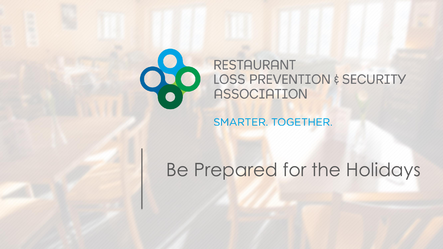

### **RESTAURANT** LOSS PREVENTION & SECURITY **ASSOCIATION**

SMARTER. TOGETHER.

# Be Prepared for the Holidays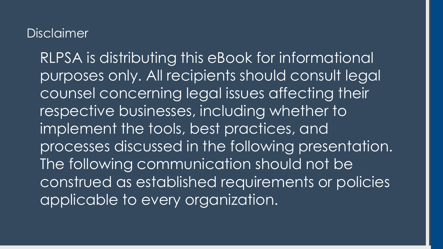### Disclaimer

RLPSA is distributing this eBook for informational purposes only. All recipients should consult legal counsel concerning legal issues affecting their respective businesses, including whether to implement the tools, best practices, and processes discussed in the following presentation. The following communication should not be construed as established requirements or policies applicable to every organization.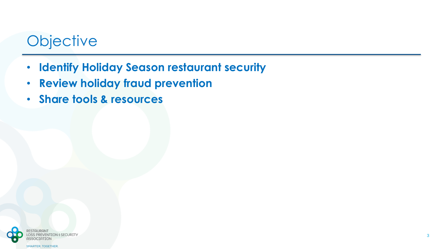## **Objective**

- **Identify Holiday Season restaurant security**
- **Review holiday fraud prevention**
- **Share tools & resources**

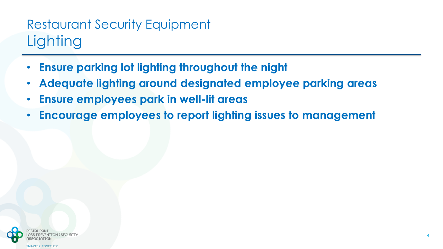## Restaurant Security Equipment **Lighting**

- **Ensure parking lot lighting throughout the night**
- **Adequate lighting around designated employee parking areas**
- **Ensure employees park in well-lit areas**
- **Encourage employees to report lighting issues to management**

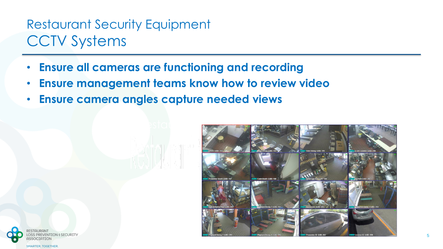### Restaurant Security Equipment CCTV Systems

- **Ensure all cameras are functioning and recording**
- **Ensure management teams know how to review video**
- **Ensure camera angles capture needed views**



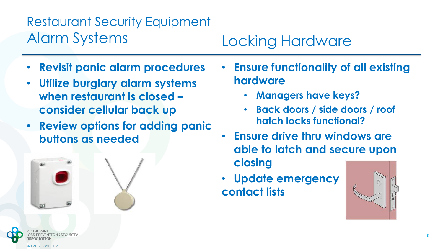## Restaurant Security Equipment Alarm Systems Locking Hardware

- **Revisit panic alarm procedures**
- **Utilize burglary alarm systems when restaurant is closed – consider cellular back up**
- **Review options for adding panic buttons as needed**





- **Managers have keys?**
- **Back doors / side doors / roof hatch locks functional?**
- **Ensure drive thru windows are able to latch and secure upon closing**
- **Update emergency contact lists**

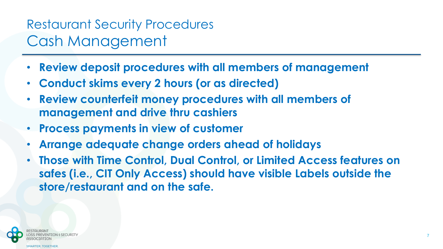### Restaurant Security Procedures Cash Management

- **Review deposit procedures with all members of management**
- **Conduct skims every 2 hours (or as directed)**
- **Review counterfeit money procedures with all members of management and drive thru cashiers**
- **Process payments in view of customer**
- **Arrange adequate change orders ahead of holidays**
- **Those with Time Control, Dual Control, or Limited Access features on safes (i.e., CIT Only Access) should have visible Labels outside the store/restaurant and on the safe.**

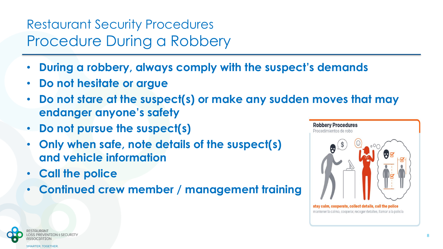### Restaurant Security Procedures Procedure During a Robbery

- **During a robbery, always comply with the suspect's demands**
- **Do not hesitate or argue**
- **Do not stare at the suspect(s) or make any sudden moves that may endanger anyone's safety**
- **Do not pursue the suspect(s)**
- **Only when safe, note details of the suspect(s) and vehicle information**
- **Call the police**
- **Continued crew member / management training**



stay calm, cooperate, collect details, call the police mantener la calma, cooperar, recoger detalles, llamar a la policía

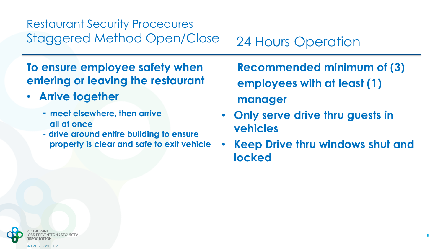### Restaurant Security Procedures Staggered Method Open/Close 24 Hours Operation

**To ensure employee safety when entering or leaving the restaurant**

- **Arrive together** 
	- **- meet elsewhere, then arrive all at once**
	- **- drive around entire building to ensure property is clear and safe to exit vehicle**

**Recommended minimum of (3) employees with at least (1) manager**

- **Only serve drive thru guests in vehicles**
- **Keep Drive thru windows shut and locked**

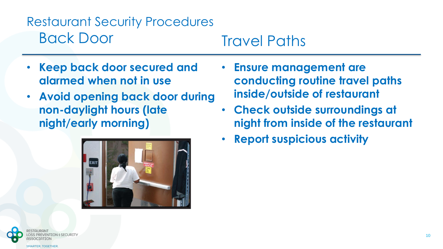### Restaurant Security Procedures Back Door Travel Paths

- **Keep back door secured and alarmed when not in use**
- **Avoid opening back door during non-daylight hours (late night/early morning)**



- **Ensure management are conducting routine travel paths inside/outside of restaurant**
- **Check outside surroundings at night from inside of the restaurant**
- **Report suspicious activity**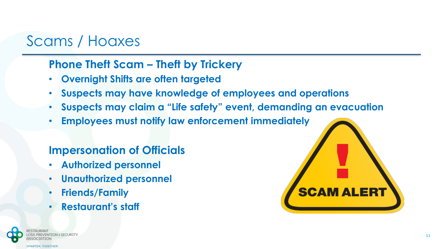### Scams / Hoaxes

### **Phone Theft Scam – Theft by Trickery**

- **Overnight Shifts are often targeted**
- **Suspects may have knowledge of employees and operations**
- **Suspects may claim a "Life safety" event, demanding an evacuation**
- **Employees must notify law enforcement immediately**

### **Impersonation of Officials**

- **Authorized personnel**
- **Unauthorized personnel**
- **Friends/Family**
- **Restaurant's staff**

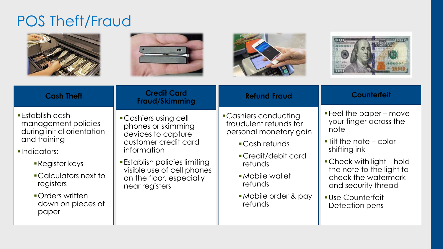### POS Theft/Fraud

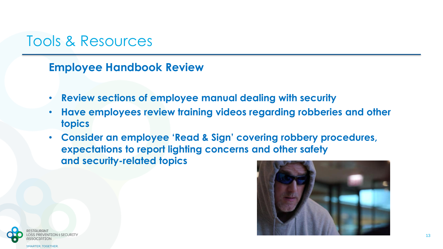### Tools & Resources

**Employee Handbook Review**

- **Review sections of employee manual dealing with security**
- **Have employees review training videos regarding robberies and other topics**
- **Consider an employee 'Read & Sign' covering robbery procedures, expectations to report lighting concerns and other safety and security-related topics**